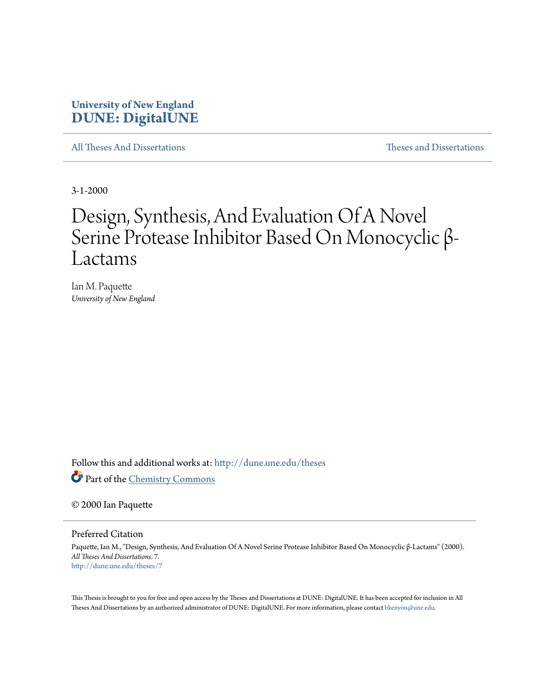## **University of New England [DUNE: DigitalUNE](http://dune.une.edu?utm_source=dune.une.edu%2Ftheses%2F7&utm_medium=PDF&utm_campaign=PDFCoverPages)**

[All Theses And Dissertations](http://dune.une.edu/theses?utm_source=dune.une.edu%2Ftheses%2F7&utm_medium=PDF&utm_campaign=PDFCoverPages) [Theses and Dissertations](http://dune.une.edu/theses_dissertations?utm_source=dune.une.edu%2Ftheses%2F7&utm_medium=PDF&utm_campaign=PDFCoverPages)

3-1-2000

# Design, Synthesis, And Evaluation Of A Novel Serine Protease Inhibitor Based On Monocyclic β-Lactams

Ian M. Paquette *University of New England*

Follow this and additional works at: [http://dune.une.edu/theses](http://dune.une.edu/theses?utm_source=dune.une.edu%2Ftheses%2F7&utm_medium=PDF&utm_campaign=PDFCoverPages)

Part of the [Chemistry Commons](http://network.bepress.com/hgg/discipline/131?utm_source=dune.une.edu%2Ftheses%2F7&utm_medium=PDF&utm_campaign=PDFCoverPages)

© 2000 Ian Paquette

Preferred Citation

Paquette, Ian M., "Design, Synthesis, And Evaluation Of A Novel Serine Protease Inhibitor Based On Monocyclic β-Lactams" (2000). *All Theses And Dissertations*. 7. [http://dune.une.edu/theses/7](http://dune.une.edu/theses/7?utm_source=dune.une.edu%2Ftheses%2F7&utm_medium=PDF&utm_campaign=PDFCoverPages)

This Thesis is brought to you for free and open access by the Theses and Dissertations at DUNE: DigitalUNE. It has been accepted for inclusion in All Theses And Dissertations by an authorized administrator of DUNE: DigitalUNE. For more information, please contact [bkenyon@une.edu.](mailto:bkenyon@une.edu)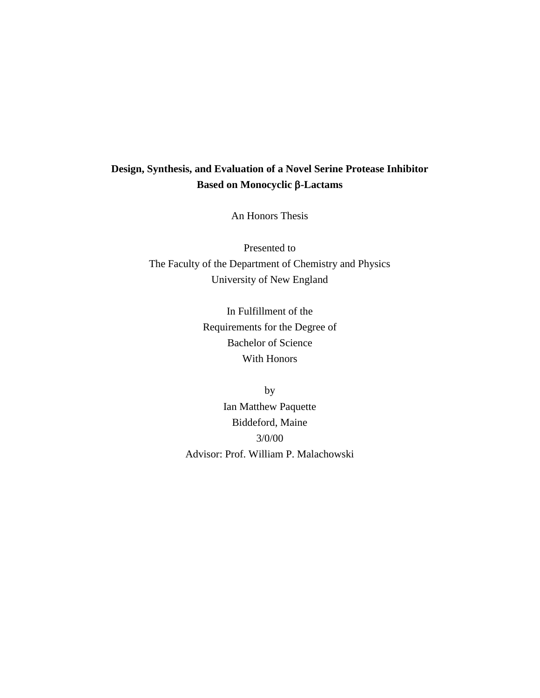## **Design, Synthesis, and Evaluation of a Novel Serine Protease Inhibitor Based on Monocyclic -Lactams**

An Honors Thesis

Presented to The Faculty of the Department of Chemistry and Physics University of New England

> In Fulfillment of the Requirements for the Degree of Bachelor of Science With Honors

by Ian Matthew Paquette Biddeford, Maine 3/0/00 Advisor: Prof. William P. Malachowski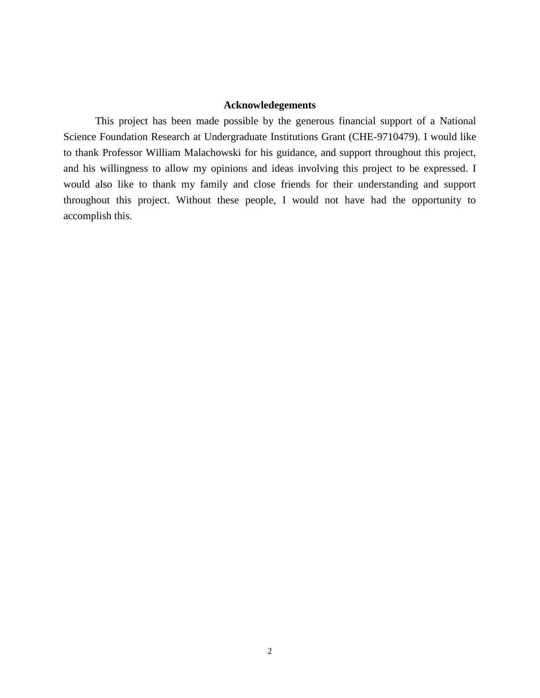#### **Acknowledegements**

This project has been made possible by the generous financial support of a National Science Foundation Research at Undergraduate Institutions Grant (CHE-9710479). I would like to thank Professor William Malachowski for his guidance, and support throughout this project, and his willingness to allow my opinions and ideas involving this project to be expressed. I would also like to thank my family and close friends for their understanding and support throughout this project. Without these people, I would not have had the opportunity to accomplish this.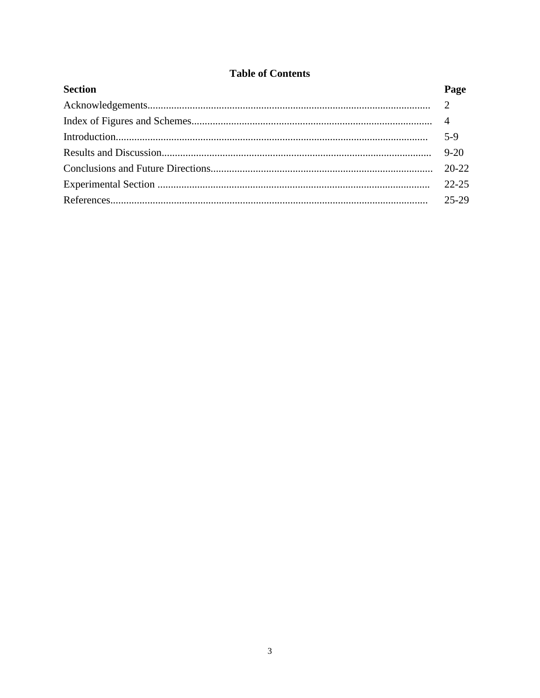### **Table of Contents**

| <b>Section</b> | Page  |
|----------------|-------|
|                |       |
|                |       |
|                | $5-9$ |
|                |       |
|                |       |
|                |       |
|                |       |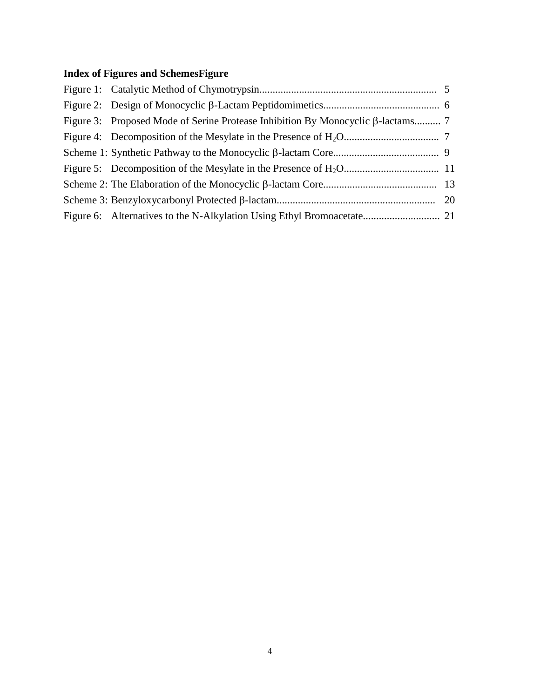## Index of Figures and SchemesFigure

| Figure 3: Proposed Mode of Serine Protease Inhibition By Monocyclic $\beta$ -lactams 7 |  |
|----------------------------------------------------------------------------------------|--|
|                                                                                        |  |
|                                                                                        |  |
|                                                                                        |  |
|                                                                                        |  |
|                                                                                        |  |
|                                                                                        |  |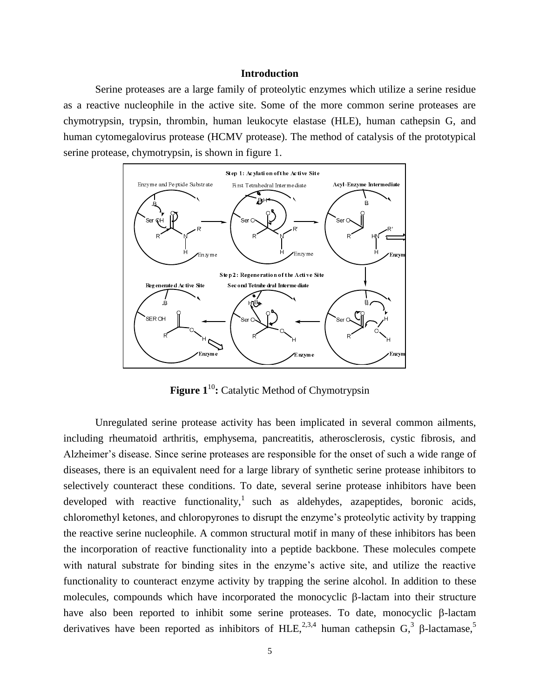#### **Introduction**

Serine proteases are a large family of proteolytic enzymes which utilize a serine residue as a reactive nucleophile in the active site. Some of the more common serine proteases are chymotrypsin, trypsin, thrombin, human leukocyte elastase (HLE), human cathepsin G, and human cytomegalovirus protease (HCMV protease). The method of catalysis of the prototypical serine protease, chymotrypsin, is shown in figure 1.



**Figure 1<sup>10</sup>:** Catalytic Method of Chymotrypsin

Unregulated serine protease activity has been implicated in several common ailments, including rheumatoid arthritis, emphysema, pancreatitis, atherosclerosis, cystic fibrosis, and Alzheimer's disease. Since serine proteases are responsible for the onset of such a wide range of diseases, there is an equivalent need for a large library of synthetic serine protease inhibitors to selectively counteract these conditions. To date, several serine protease inhibitors have been developed with reactive functionality,<sup>1</sup> such as aldehydes, azapeptides, boronic acids, chloromethyl ketones, and chloropyrones to disrupt the enzyme's proteolytic activity by trapping the reactive serine nucleophile. A common structural motif in many of these inhibitors has been the incorporation of reactive functionality into a peptide backbone. These molecules compete with natural substrate for binding sites in the enzyme's active site, and utilize the reactive functionality to counteract enzyme activity by trapping the serine alcohol. In addition to these molecules, compounds which have incorporated the monocyclic  $\beta$ -lactam into their structure have also been reported to inhibit some serine proteases. To date, monocyclic  $\beta$ -lactam derivatives have been reported as inhibitors of HLE,  $^{2,3,4}$  human cathepsin G,  $^{3}$   $\beta$ -lactamase,  $^{5}$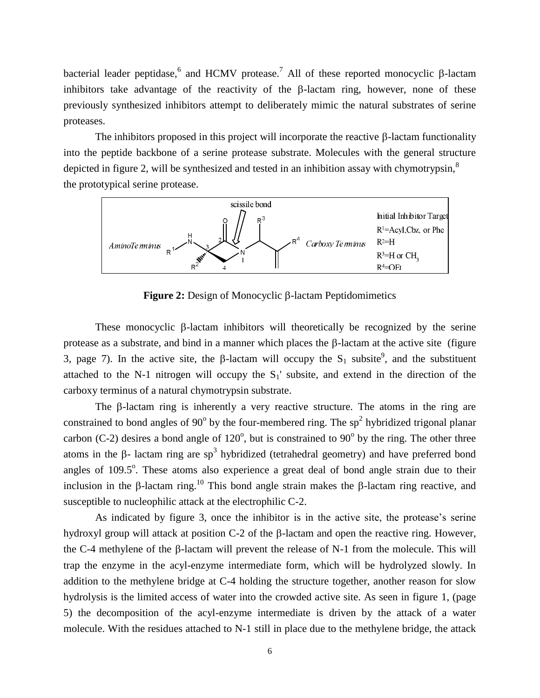bacterial leader peptidase,<sup>6</sup> and HCMV protease.<sup>7</sup> All of these reported monocyclic  $\beta$ -lactam inhibitors take advantage of the reactivity of the  $\beta$ -lactam ring, however, none of these previously synthesized inhibitors attempt to deliberately mimic the natural substrates of serine proteases.

The inhibitors proposed in this project will incorporate the reactive  $\beta$ -lactam functionality into the peptide backbone of a serine protease substrate. Molecules with the general structure depicted in figure 2, will be synthesized and tested in an inhibition assay with chymotrypsin, $\delta$ the prototypical serine protease.



**Figure 2:** Design of Monocyclic  $\beta$ -lactam Peptidomimetics

These monocyclic  $\beta$ -lactam inhibitors will theoretically be recognized by the serine protease as a substrate, and bind in a manner which places the  $\beta$ -lactam at the active site (figure 3, page 7). In the active site, the  $\beta$ -lactam will occupy the S<sub>1</sub> subsite<sup>9</sup>, and the substituent attached to the N-1 nitrogen will occupy the  $S_1$ ' subsite, and extend in the direction of the carboxy terminus of a natural chymotrypsin substrate.

The  $\beta$ -lactam ring is inherently a very reactive structure. The atoms in the ring are constrained to bond angles of 90 $^{\circ}$  by the four-membered ring. The sp<sup>2</sup> hybridized trigonal planar carbon (C-2) desires a bond angle of  $120^{\circ}$ , but is constrained to  $90^{\circ}$  by the ring. The other three atoms in the  $\beta$ - lactam ring are sp<sup>3</sup> hybridized (tetrahedral geometry) and have preferred bond angles of  $109.5^\circ$ . These atoms also experience a great deal of bond angle strain due to their inclusion in the  $\beta$ -lactam ring.<sup>10</sup> This bond angle strain makes the  $\beta$ -lactam ring reactive, and susceptible to nucleophilic attack at the electrophilic C-2.

As indicated by figure 3, once the inhibitor is in the active site, the protease's serine hydroxyl group will attack at position  $C-2$  of the  $\beta$ -lactam and open the reactive ring. However, the C-4 methylene of the  $\beta$ -lactam will prevent the release of N-1 from the molecule. This will trap the enzyme in the acyl-enzyme intermediate form, which will be hydrolyzed slowly. In addition to the methylene bridge at C-4 holding the structure together, another reason for slow hydrolysis is the limited access of water into the crowded active site. As seen in figure 1, (page 5) the decomposition of the acyl-enzyme intermediate is driven by the attack of a water molecule. With the residues attached to N-1 still in place due to the methylene bridge, the attack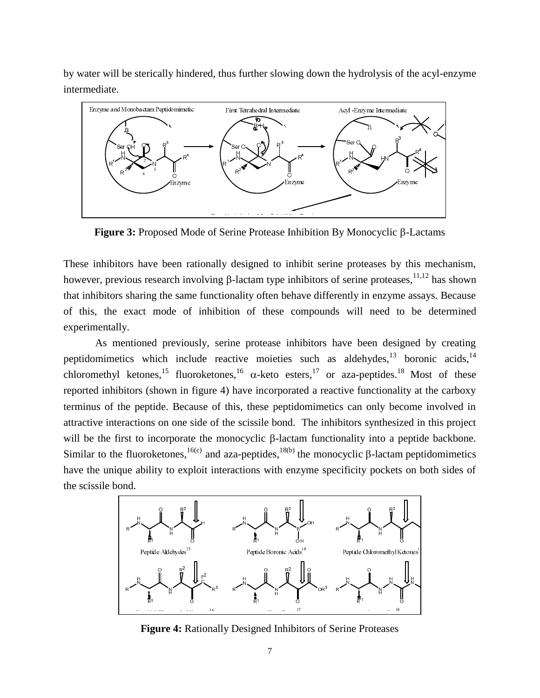by water will be sterically hindered, thus further slowing down the hydrolysis of the acyl-enzyme intermediate.



**Figure 3:** Proposed Mode of Serine Protease Inhibition By Monocyclic  $\beta$ -Lactams

These inhibitors have been rationally designed to inhibit serine proteases by this mechanism, however, previous research involving  $\beta$ -lactam type inhibitors of serine proteases, <sup>11,12</sup> has shown that inhibitors sharing the same functionality often behave differently in enzyme assays. Because of this, the exact mode of inhibition of these compounds will need to be determined experimentally.

As mentioned previously, serine protease inhibitors have been designed by creating peptidomimetics which include reactive moieties such as aldehydes, $^{13}$  boronic acids, $^{14}$ chloromethyl ketones,<sup>15</sup> fluoroketones,<sup>16</sup>  $\alpha$ -keto esters,<sup>17</sup> or aza-peptides.<sup>18</sup> Most of these reported inhibitors (shown in figure 4) have incorporated a reactive functionality at the carboxy terminus of the peptide. Because of this, these peptidomimetics can only become involved in attractive interactions on one side of the scissile bond. The inhibitors synthesized in this project will be the first to incorporate the monocyclic  $\beta$ -lactam functionality into a peptide backbone. Similar to the fluoroketones,  $16(c)$  and aza-peptides,  $18(b)$  the monocyclic  $\beta$ -lactam peptidomimetics have the unique ability to exploit interactions with enzyme specificity pockets on both sides of the scissile bond.



**Figure 4:** Rationally Designed Inhibitors of Serine Proteases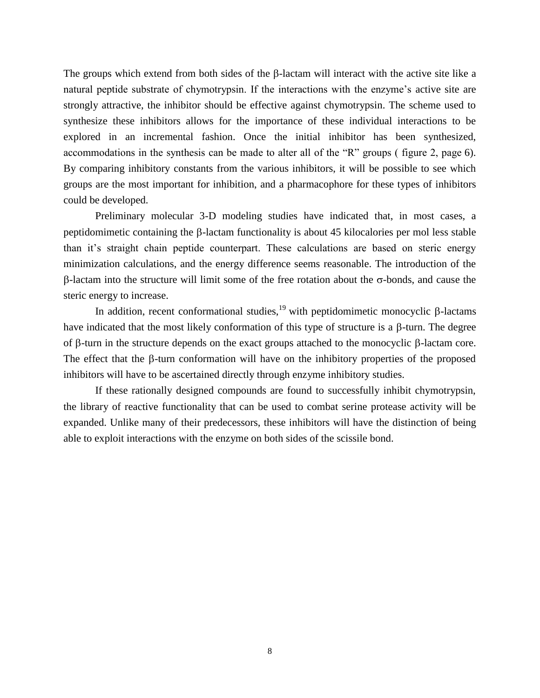The groups which extend from both sides of the  $\beta$ -lactam will interact with the active site like a natural peptide substrate of chymotrypsin. If the interactions with the enzyme's active site are strongly attractive, the inhibitor should be effective against chymotrypsin. The scheme used to synthesize these inhibitors allows for the importance of these individual interactions to be explored in an incremental fashion. Once the initial inhibitor has been synthesized, accommodations in the synthesis can be made to alter all of the "R" groups ( figure 2, page 6). By comparing inhibitory constants from the various inhibitors, it will be possible to see which groups are the most important for inhibition, and a pharmacophore for these types of inhibitors could be developed.

Preliminary molecular 3-D modeling studies have indicated that, in most cases, a peptidomimetic containing the  $\beta$ -lactam functionality is about 45 kilocalories per mol less stable than it's straight chain peptide counterpart. These calculations are based on steric energy minimization calculations, and the energy difference seems reasonable. The introduction of the  $\beta$ -lactam into the structure will limit some of the free rotation about the  $\sigma$ -bonds, and cause the steric energy to increase.

In addition, recent conformational studies,  $19$  with peptidomimetic monocyclic  $\beta$ -lactams have indicated that the most likely conformation of this type of structure is a  $\beta$ -turn. The degree of  $\beta$ -turn in the structure depends on the exact groups attached to the monocyclic  $\beta$ -lactam core. The effect that the  $\beta$ -turn conformation will have on the inhibitory properties of the proposed inhibitors will have to be ascertained directly through enzyme inhibitory studies.

If these rationally designed compounds are found to successfully inhibit chymotrypsin, the library of reactive functionality that can be used to combat serine protease activity will be expanded. Unlike many of their predecessors, these inhibitors will have the distinction of being able to exploit interactions with the enzyme on both sides of the scissile bond.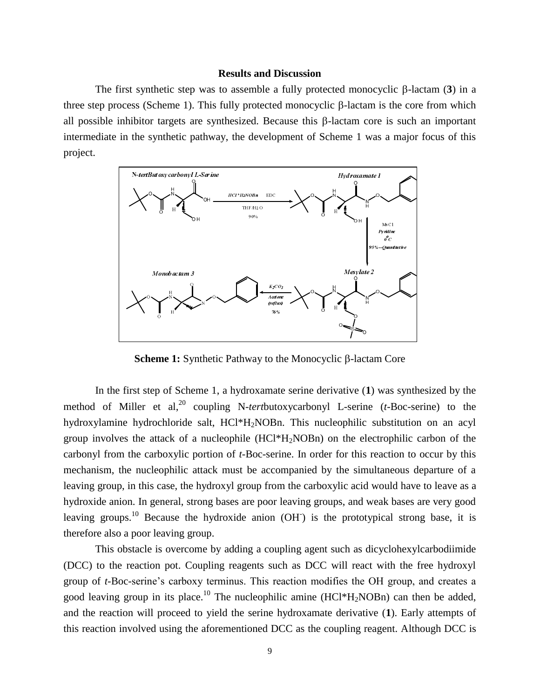#### **Results and Discussion**

The first synthetic step was to assemble a fully protected monocyclic  $\beta$ -lactam (3) in a three step process (Scheme 1). This fully protected monocyclic  $\beta$ -lactam is the core from which all possible inhibitor targets are synthesized. Because this  $\beta$ -lactam core is such an important intermediate in the synthetic pathway, the development of Scheme 1 was a major focus of this project.



**Scheme 1:** Synthetic Pathway to the Monocyclic  $\beta$ -lactam Core

In the first step of Scheme 1, a hydroxamate serine derivative (**1**) was synthesized by the method of Miller et al,<sup>20</sup> coupling N-tertbutoxycarbonyl L-serine (t-Boc-serine) to the hydroxylamine hydrochloride salt, HCl\*H<sub>2</sub>NOBn. This nucleophilic substitution on an acyl group involves the attack of a nucleophile (HCl\*H2NOBn) on the electrophilic carbon of the carbonyl from the carboxylic portion of *t*-Boc-serine. In order for this reaction to occur by this mechanism, the nucleophilic attack must be accompanied by the simultaneous departure of a leaving group, in this case, the hydroxyl group from the carboxylic acid would have to leave as a hydroxide anion. In general, strong bases are poor leaving groups, and weak bases are very good leaving groups.<sup>10</sup> Because the hydroxide anion (OH<sup>T</sup>) is the prototypical strong base, it is therefore also a poor leaving group.

This obstacle is overcome by adding a coupling agent such as dicyclohexylcarbodiimide (DCC) to the reaction pot. Coupling reagents such as DCC will react with the free hydroxyl group of *t*-Boc-serine's carboxy terminus. This reaction modifies the OH group, and creates a good leaving group in its place.<sup>10</sup> The nucleophilic amine (HCl<sup>\*</sup>H<sub>2</sub>NOBn) can then be added, and the reaction will proceed to yield the serine hydroxamate derivative (**1**). Early attempts of this reaction involved using the aforementioned DCC as the coupling reagent. Although DCC is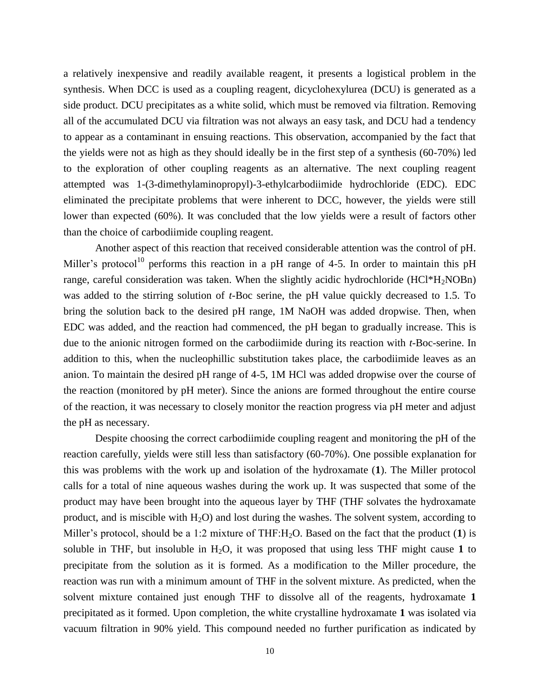a relatively inexpensive and readily available reagent, it presents a logistical problem in the synthesis. When DCC is used as a coupling reagent, dicyclohexylurea (DCU) is generated as a side product. DCU precipitates as a white solid, which must be removed via filtration. Removing all of the accumulated DCU via filtration was not always an easy task, and DCU had a tendency to appear as a contaminant in ensuing reactions. This observation, accompanied by the fact that the yields were not as high as they should ideally be in the first step of a synthesis (60-70%) led to the exploration of other coupling reagents as an alternative. The next coupling reagent attempted was 1-(3-dimethylaminopropyl)-3-ethylcarbodiimide hydrochloride (EDC). EDC eliminated the precipitate problems that were inherent to DCC, however, the yields were still lower than expected (60%). It was concluded that the low yields were a result of factors other than the choice of carbodiimide coupling reagent.

Another aspect of this reaction that received considerable attention was the control of pH. Miller's protocol<sup>10</sup> performs this reaction in a pH range of 4-5. In order to maintain this pH range, careful consideration was taken. When the slightly acidic hydrochloride  $(HCl^*H_2NOBn)$ was added to the stirring solution of *t*-Boc serine, the pH value quickly decreased to 1.5. To bring the solution back to the desired pH range, 1M NaOH was added dropwise. Then, when EDC was added, and the reaction had commenced, the pH began to gradually increase. This is due to the anionic nitrogen formed on the carbodiimide during its reaction with *t*-Boc-serine. In addition to this, when the nucleophillic substitution takes place, the carbodiimide leaves as an anion. To maintain the desired pH range of 4-5, 1M HCl was added dropwise over the course of the reaction (monitored by pH meter). Since the anions are formed throughout the entire course of the reaction, it was necessary to closely monitor the reaction progress via pH meter and adjust the pH as necessary.

Despite choosing the correct carbodiimide coupling reagent and monitoring the pH of the reaction carefully, yields were still less than satisfactory (60-70%). One possible explanation for this was problems with the work up and isolation of the hydroxamate (**1**). The Miller protocol calls for a total of nine aqueous washes during the work up. It was suspected that some of the product may have been brought into the aqueous layer by THF (THF solvates the hydroxamate product, and is miscible with  $H_2O$ ) and lost during the washes. The solvent system, according to Miller's protocol, should be a 1:2 mixture of THF:H<sub>2</sub>O. Based on the fact that the product (1) is soluble in THF, but insoluble in  $H_2O$ , it was proposed that using less THF might cause 1 to precipitate from the solution as it is formed. As a modification to the Miller procedure, the reaction was run with a minimum amount of THF in the solvent mixture. As predicted, when the solvent mixture contained just enough THF to dissolve all of the reagents, hydroxamate **1**  precipitated as it formed. Upon completion, the white crystalline hydroxamate **1** was isolated via vacuum filtration in 90% yield. This compound needed no further purification as indicated by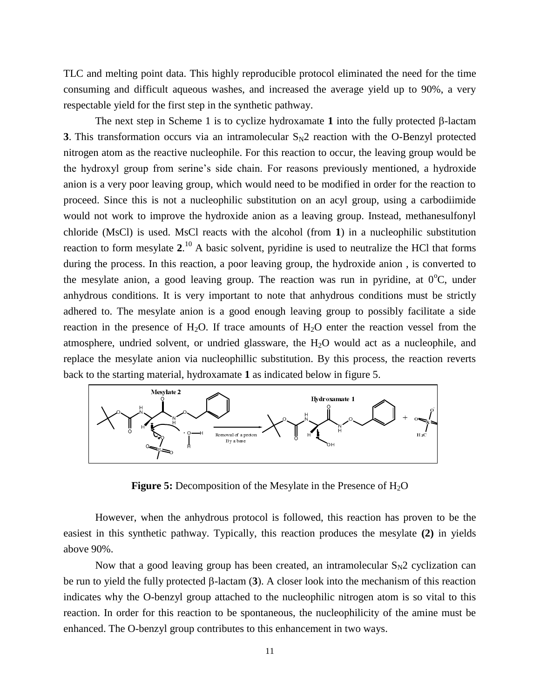TLC and melting point data. This highly reproducible protocol eliminated the need for the time consuming and difficult aqueous washes, and increased the average yield up to 90%, a very respectable yield for the first step in the synthetic pathway.

The next step in Scheme 1 is to cyclize hydroxamate 1 into the fully protected  $\beta$ -lactam **3**. This transformation occurs via an intramolecular  $S_N2$  reaction with the O-Benzyl protected nitrogen atom as the reactive nucleophile. For this reaction to occur, the leaving group would be the hydroxyl group from serine's side chain. For reasons previously mentioned, a hydroxide anion is a very poor leaving group, which would need to be modified in order for the reaction to proceed. Since this is not a nucleophilic substitution on an acyl group, using a carbodiimide would not work to improve the hydroxide anion as a leaving group. Instead, methanesulfonyl chloride (MsCl) is used. MsCl reacts with the alcohol (from **1**) in a nucleophilic substitution reaction to form mesylate **2**. <sup>10</sup> A basic solvent, pyridine is used to neutralize the HCl that forms during the process. In this reaction, a poor leaving group, the hydroxide anion , is converted to the mesylate anion, a good leaving group. The reaction was run in pyridine, at  $0^{\circ}C$ , under anhydrous conditions. It is very important to note that anhydrous conditions must be strictly adhered to. The mesylate anion is a good enough leaving group to possibly facilitate a side reaction in the presence of  $H_2O$ . If trace amounts of  $H_2O$  enter the reaction vessel from the atmosphere, undried solvent, or undried glassware, the  $H_2O$  would act as a nucleophile, and replace the mesylate anion via nucleophillic substitution. By this process, the reaction reverts back to the starting material, hydroxamate **1** as indicated below in figure 5.



**Figure 5:** Decomposition of the Mesylate in the Presence of H<sub>2</sub>O

However, when the anhydrous protocol is followed, this reaction has proven to be the easiest in this synthetic pathway. Typically, this reaction produces the mesylate **(2)** in yields above 90%.

Now that a good leaving group has been created, an intramolecular  $S_N2$  cyclization can be run to yield the fully protected  $\beta$ -lactam (3). A closer look into the mechanism of this reaction indicates why the O-benzyl group attached to the nucleophilic nitrogen atom is so vital to this reaction. In order for this reaction to be spontaneous, the nucleophilicity of the amine must be enhanced. The O-benzyl group contributes to this enhancement in two ways.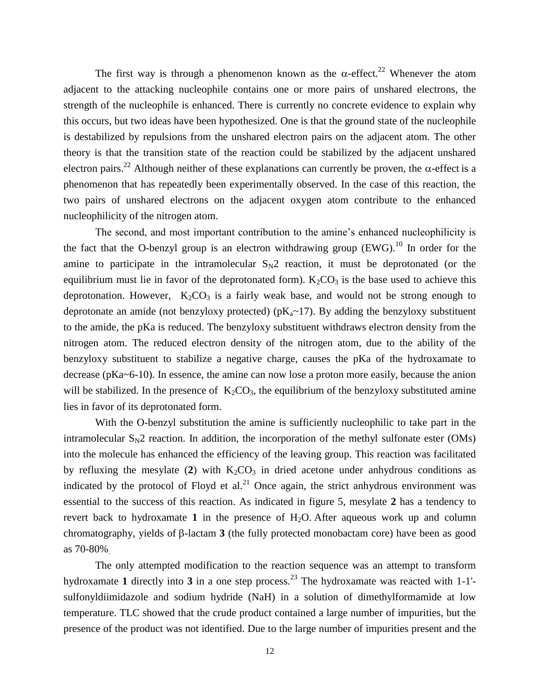The first way is through a phenomenon known as the  $\alpha$ -effect.<sup>22</sup> Whenever the atom adjacent to the attacking nucleophile contains one or more pairs of unshared electrons, the strength of the nucleophile is enhanced. There is currently no concrete evidence to explain why this occurs, but two ideas have been hypothesized. One is that the ground state of the nucleophile is destabilized by repulsions from the unshared electron pairs on the adjacent atom. The other theory is that the transition state of the reaction could be stabilized by the adjacent unshared electron pairs.<sup>22</sup> Although neither of these explanations can currently be proven, the  $\alpha$ -effect is a phenomenon that has repeatedly been experimentally observed. In the case of this reaction, the two pairs of unshared electrons on the adjacent oxygen atom contribute to the enhanced nucleophilicity of the nitrogen atom.

The second, and most important contribution to the amine's enhanced nucleophilicity is the fact that the O-benzyl group is an electron withdrawing group  $(EWG)$ .<sup>10</sup> In order for the amine to participate in the intramolecular  $S_N2$  reaction, it must be deprotonated (or the equilibrium must lie in favor of the deprotonated form).  $K_2CO_3$  is the base used to achieve this deprotonation. However,  $K_2CO_3$  is a fairly weak base, and would not be strong enough to deprotonate an amide (not benzyloxy protected) ( $pK_a \sim 17$ ). By adding the benzyloxy substituent to the amide, the pKa is reduced. The benzyloxy substituent withdraws electron density from the nitrogen atom. The reduced electron density of the nitrogen atom, due to the ability of the benzyloxy substituent to stabilize a negative charge, causes the pKa of the hydroxamate to decrease (pKa~6-10). In essence, the amine can now lose a proton more easily, because the anion will be stabilized. In the presence of  $K_2CO_3$ , the equilibrium of the benzyloxy substituted amine lies in favor of its deprotonated form.

With the O-benzyl substitution the amine is sufficiently nucleophilic to take part in the intramolecular  $S_N2$  reaction. In addition, the incorporation of the methyl sulfonate ester (OMs) into the molecule has enhanced the efficiency of the leaving group. This reaction was facilitated by refluxing the mesylate (2) with  $K_2CO_3$  in dried acetone under anhydrous conditions as indicated by the protocol of Floyd et al.<sup>21</sup> Once again, the strict anhydrous environment was essential to the success of this reaction. As indicated in figure 5, mesylate **2** has a tendency to revert back to hydroxamate 1 in the presence of  $H_2O$ . After aqueous work up and column chromatography, yields of  $\beta$ -lactam **3** (the fully protected monobactam core) have been as good as 70-80%.

The only attempted modification to the reaction sequence was an attempt to transform hydroxamate 1 directly into 3 in a one step process.<sup>23</sup> The hydroxamate was reacted with 1-1'sulfonyldiimidazole and sodium hydride (NaH) in a solution of dimethylformamide at low temperature. TLC showed that the crude product contained a large number of impurities, but the presence of the product was not identified. Due to the large number of impurities present and the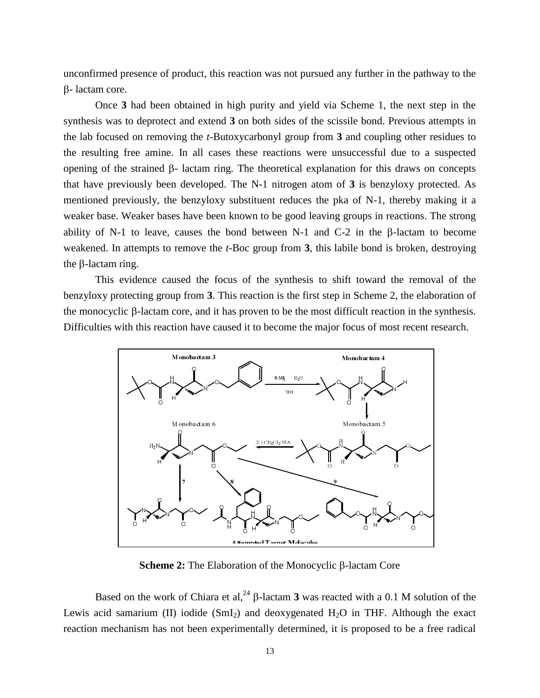unconfirmed presence of product, this reaction was not pursued any further in the pathway to the B-lactam core.

Once **3** had been obtained in high purity and yield via Scheme 1, the next step in the synthesis was to deprotect and extend **3** on both sides of the scissile bond. Previous attempts in the lab focused on removing the *t*-Butoxycarbonyl group from **3** and coupling other residues to the resulting free amine. In all cases these reactions were unsuccessful due to a suspected opening of the strained  $\beta$ - lactam ring. The theoretical explanation for this draws on concepts that have previously been developed. The N-1 nitrogen atom of  $3$  is benzyloxy protected. As mentioned previously, the benzyloxy substituent reduces the pka of N-1, thereby making it a weaker base. Weaker bases have been known to be good leaving groups in reactions. The strong ability of N-1 to leave, causes the bond between N-1 and C-2 in the  $\beta$ -lactam to become weakened. In attempts to remove the *t*-Boc group from **3**, this labile bond is broken, destroying the  $\beta$ -lactam ring.

This evidence caused the focus of the synthesis to shift toward the removal of the benzyloxy protecting group from **3**. This reaction is the first step in Scheme 2, the elaboration of the monocyclic  $\beta$ -lactam core, and it has proven to be the most difficult reaction in the synthesis. Difficulties with this reaction have caused it to become the major focus of most recent research.



**Scheme 2:** The Elaboration of the Monocyclic β-lactam Core

Based on the work of Chiara et al,<sup>24</sup>  $\beta$ -lactam **3** was reacted with a 0.1 M solution of the Lewis acid samarium (II) iodide  $(SmI<sub>2</sub>)$  and deoxygenated  $H<sub>2</sub>O$  in THF. Although the exact reaction mechanism has not been experimentally determined, it is proposed to be a free radical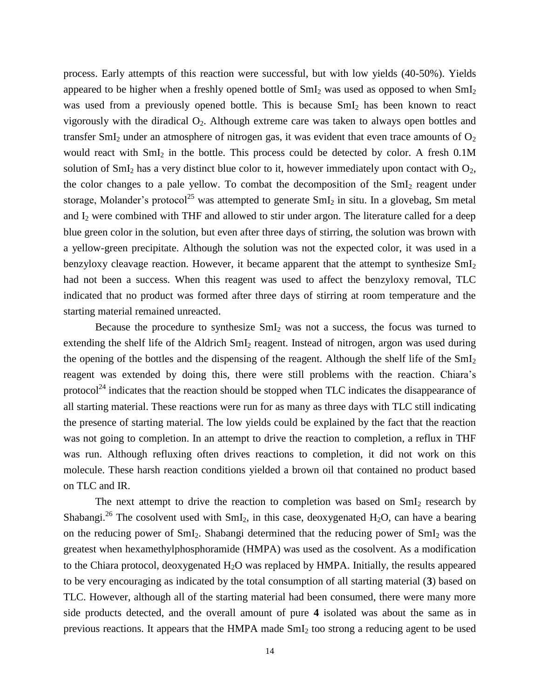process. Early attempts of this reaction were successful, but with low yields (40-50%). Yields appeared to be higher when a freshly opened bottle of  $SmI_2$  was used as opposed to when  $SmI_2$ was used from a previously opened bottle. This is because  $SmI<sub>2</sub>$  has been known to react vigorously with the diradical  $O_2$ . Although extreme care was taken to always open bottles and transfer SmI<sub>2</sub> under an atmosphere of nitrogen gas, it was evident that even trace amounts of  $O_2$ would react with  $SmI_2$  in the bottle. This process could be detected by color. A fresh 0.1M solution of  $SmI<sub>2</sub>$  has a very distinct blue color to it, however immediately upon contact with  $O<sub>2</sub>$ , the color changes to a pale yellow. To combat the decomposition of the  $SmI<sub>2</sub>$  reagent under storage, Molander's protocol<sup>25</sup> was attempted to generate  $SmI_2$  in situ. In a glovebag, Sm metal and  $I_2$  were combined with THF and allowed to stir under argon. The literature called for a deep blue green color in the solution, but even after three days of stirring, the solution was brown with a yellow-green precipitate. Although the solution was not the expected color, it was used in a benzyloxy cleavage reaction. However, it became apparent that the attempt to synthesize  $SmI<sub>2</sub>$ had not been a success. When this reagent was used to affect the benzyloxy removal, TLC indicated that no product was formed after three days of stirring at room temperature and the starting material remained unreacted.

Because the procedure to synthesize  $SmI<sub>2</sub>$  was not a success, the focus was turned to extending the shelf life of the Aldrich SmI<sub>2</sub> reagent. Instead of nitrogen, argon was used during the opening of the bottles and the dispensing of the reagent. Although the shelf life of the  $SmI<sub>2</sub>$ reagent was extended by doing this, there were still problems with the reaction. Chiara's protocol<sup>24</sup> indicates that the reaction should be stopped when TLC indicates the disappearance of all starting material. These reactions were run for as many as three days with TLC still indicating the presence of starting material. The low yields could be explained by the fact that the reaction was not going to completion. In an attempt to drive the reaction to completion, a reflux in THF was run. Although refluxing often drives reactions to completion, it did not work on this molecule. These harsh reaction conditions yielded a brown oil that contained no product based on TLC and IR.

The next attempt to drive the reaction to completion was based on  $SmI<sub>2</sub>$  research by Shabangi.<sup>26</sup> The cosolvent used with  $SmI_2$ , in this case, deoxygenated H<sub>2</sub>O, can have a bearing on the reducing power of  $SmI_2$ . Shabangi determined that the reducing power of  $SmI_2$  was the greatest when hexamethylphosphoramide (HMPA) was used as the cosolvent. As a modification to the Chiara protocol, deoxygenated  $H_2O$  was replaced by HMPA. Initially, the results appeared to be very encouraging as indicated by the total consumption of all starting material (**3**) based on TLC. However, although all of the starting material had been consumed, there were many more side products detected, and the overall amount of pure **4** isolated was about the same as in previous reactions. It appears that the HMPA made SmI<sup>2</sup> too strong a reducing agent to be used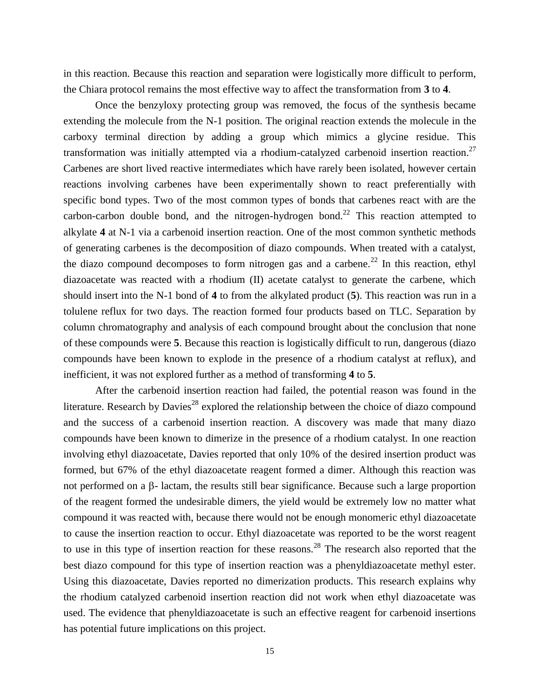in this reaction. Because this reaction and separation were logistically more difficult to perform, the Chiara protocol remains the most effective way to affect the transformation from **3** to **4**.

Once the benzyloxy protecting group was removed, the focus of the synthesis became extending the molecule from the N-1 position. The original reaction extends the molecule in the carboxy terminal direction by adding a group which mimics a glycine residue. This transformation was initially attempted via a rhodium-catalyzed carbenoid insertion reaction.<sup>27</sup> Carbenes are short lived reactive intermediates which have rarely been isolated, however certain reactions involving carbenes have been experimentally shown to react preferentially with specific bond types. Two of the most common types of bonds that carbenes react with are the carbon-carbon double bond, and the nitrogen-hydrogen bond.<sup>22</sup> This reaction attempted to alkylate **4** at N-1 via a carbenoid insertion reaction. One of the most common synthetic methods of generating carbenes is the decomposition of diazo compounds. When treated with a catalyst, the diazo compound decomposes to form nitrogen gas and a carbene.<sup>22</sup> In this reaction, ethyl diazoacetate was reacted with a rhodium (II) acetate catalyst to generate the carbene, which should insert into the N-1 bond of **4** to from the alkylated product (**5**). This reaction was run in a tolulene reflux for two days. The reaction formed four products based on TLC. Separation by column chromatography and analysis of each compound brought about the conclusion that none of these compounds were **5**. Because this reaction is logistically difficult to run, dangerous (diazo compounds have been known to explode in the presence of a rhodium catalyst at reflux), and inefficient, it was not explored further as a method of transforming **4** to **5**.

After the carbenoid insertion reaction had failed, the potential reason was found in the literature. Research by Davies<sup>28</sup> explored the relationship between the choice of diazo compound and the success of a carbenoid insertion reaction. A discovery was made that many diazo compounds have been known to dimerize in the presence of a rhodium catalyst. In one reaction involving ethyl diazoacetate, Davies reported that only 10% of the desired insertion product was formed, but 67% of the ethyl diazoacetate reagent formed a dimer. Although this reaction was not performed on a  $\beta$ - lactam, the results still bear significance. Because such a large proportion of the reagent formed the undesirable dimers, the yield would be extremely low no matter what compound it was reacted with, because there would not be enough monomeric ethyl diazoacetate to cause the insertion reaction to occur. Ethyl diazoacetate was reported to be the worst reagent to use in this type of insertion reaction for these reasons.<sup>28</sup> The research also reported that the best diazo compound for this type of insertion reaction was a phenyldiazoacetate methyl ester. Using this diazoacetate, Davies reported no dimerization products. This research explains why the rhodium catalyzed carbenoid insertion reaction did not work when ethyl diazoacetate was used. The evidence that phenyldiazoacetate is such an effective reagent for carbenoid insertions has potential future implications on this project.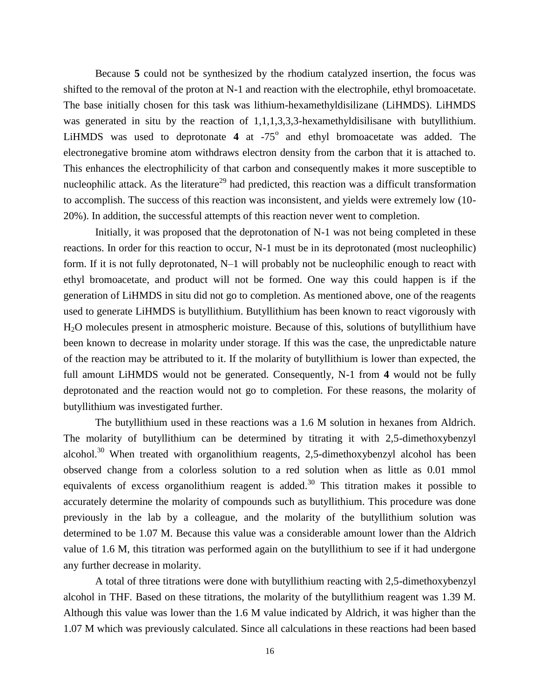Because **5** could not be synthesized by the rhodium catalyzed insertion, the focus was shifted to the removal of the proton at N-1 and reaction with the electrophile, ethyl bromoacetate. The base initially chosen for this task was lithium-hexamethyldisilizane (LiHMDS). LiHMDS was generated in situ by the reaction of 1,1,1,3,3,3-hexamethyldisilisane with butyllithium. LiHMDS was used to deprotonate  $4$  at  $-75^{\circ}$  and ethyl bromoacetate was added. The electronegative bromine atom withdraws electron density from the carbon that it is attached to. This enhances the electrophilicity of that carbon and consequently makes it more susceptible to nucleophilic attack. As the literature<sup>29</sup> had predicted, this reaction was a difficult transformation to accomplish. The success of this reaction was inconsistent, and yields were extremely low (10- 20%). In addition, the successful attempts of this reaction never went to completion.

Initially, it was proposed that the deprotonation of N-1 was not being completed in these reactions. In order for this reaction to occur, N-1 must be in its deprotonated (most nucleophilic) form. If it is not fully deprotonated, N–1 will probably not be nucleophilic enough to react with ethyl bromoacetate, and product will not be formed. One way this could happen is if the generation of LiHMDS in situ did not go to completion. As mentioned above, one of the reagents used to generate LiHMDS is butyllithium. Butyllithium has been known to react vigorously with H2O molecules present in atmospheric moisture. Because of this, solutions of butyllithium have been known to decrease in molarity under storage. If this was the case, the unpredictable nature of the reaction may be attributed to it. If the molarity of butyllithium is lower than expected, the full amount LiHMDS would not be generated. Consequently, N-1 from **4** would not be fully deprotonated and the reaction would not go to completion. For these reasons, the molarity of butyllithium was investigated further.

The butyllithium used in these reactions was a 1.6 M solution in hexanes from Aldrich. The molarity of butyllithium can be determined by titrating it with 2,5-dimethoxybenzyl alcohol.<sup>30</sup> When treated with organolithium reagents, 2,5-dimethoxybenzyl alcohol has been observed change from a colorless solution to a red solution when as little as 0.01 mmol equivalents of excess organolithium reagent is added.<sup>30</sup> This titration makes it possible to accurately determine the molarity of compounds such as butyllithium. This procedure was done previously in the lab by a colleague, and the molarity of the butyllithium solution was determined to be 1.07 M. Because this value was a considerable amount lower than the Aldrich value of 1.6 M, this titration was performed again on the butyllithium to see if it had undergone any further decrease in molarity.

A total of three titrations were done with butyllithium reacting with 2,5-dimethoxybenzyl alcohol in THF. Based on these titrations, the molarity of the butyllithium reagent was 1.39 M. Although this value was lower than the 1.6 M value indicated by Aldrich, it was higher than the 1.07 M which was previously calculated. Since all calculations in these reactions had been based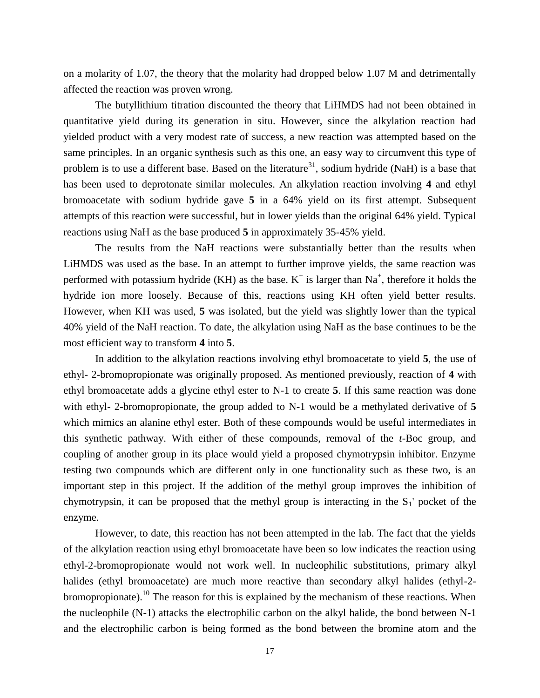on a molarity of 1.07, the theory that the molarity had dropped below 1.07 M and detrimentally affected the reaction was proven wrong.

The butyllithium titration discounted the theory that LiHMDS had not been obtained in quantitative yield during its generation in situ. However, since the alkylation reaction had yielded product with a very modest rate of success, a new reaction was attempted based on the same principles. In an organic synthesis such as this one, an easy way to circumvent this type of problem is to use a different base. Based on the literature<sup>31</sup>, sodium hydride (NaH) is a base that has been used to deprotonate similar molecules. An alkylation reaction involving **4** and ethyl bromoacetate with sodium hydride gave **5** in a 64% yield on its first attempt. Subsequent attempts of this reaction were successful, but in lower yields than the original 64% yield. Typical reactions using NaH as the base produced **5** in approximately 35-45% yield.

The results from the NaH reactions were substantially better than the results when LiHMDS was used as the base. In an attempt to further improve yields, the same reaction was performed with potassium hydride (KH) as the base.  $K^+$  is larger than Na<sup>+</sup>, therefore it holds the hydride ion more loosely. Because of this, reactions using KH often yield better results. However, when KH was used, **5** was isolated, but the yield was slightly lower than the typical 40% yield of the NaH reaction. To date, the alkylation using NaH as the base continues to be the most efficient way to transform **4** into **5**.

In addition to the alkylation reactions involving ethyl bromoacetate to yield **5**, the use of ethyl- 2-bromopropionate was originally proposed. As mentioned previously, reaction of **4** with ethyl bromoacetate adds a glycine ethyl ester to N-1 to create **5**. If this same reaction was done with ethyl- 2-bromopropionate, the group added to N-1 would be a methylated derivative of **5** which mimics an alanine ethyl ester. Both of these compounds would be useful intermediates in this synthetic pathway. With either of these compounds, removal of the *t*-Boc group, and coupling of another group in its place would yield a proposed chymotrypsin inhibitor. Enzyme testing two compounds which are different only in one functionality such as these two, is an important step in this project. If the addition of the methyl group improves the inhibition of chymotrypsin, it can be proposed that the methyl group is interacting in the  $S_1$ ' pocket of the enzyme.

However, to date, this reaction has not been attempted in the lab. The fact that the yields of the alkylation reaction using ethyl bromoacetate have been so low indicates the reaction using ethyl-2-bromopropionate would not work well. In nucleophilic substitutions, primary alkyl halides (ethyl bromoacetate) are much more reactive than secondary alkyl halides (ethyl-2 bromopropionate).<sup>10</sup> The reason for this is explained by the mechanism of these reactions. When the nucleophile (N-1) attacks the electrophilic carbon on the alkyl halide, the bond between N-1 and the electrophilic carbon is being formed as the bond between the bromine atom and the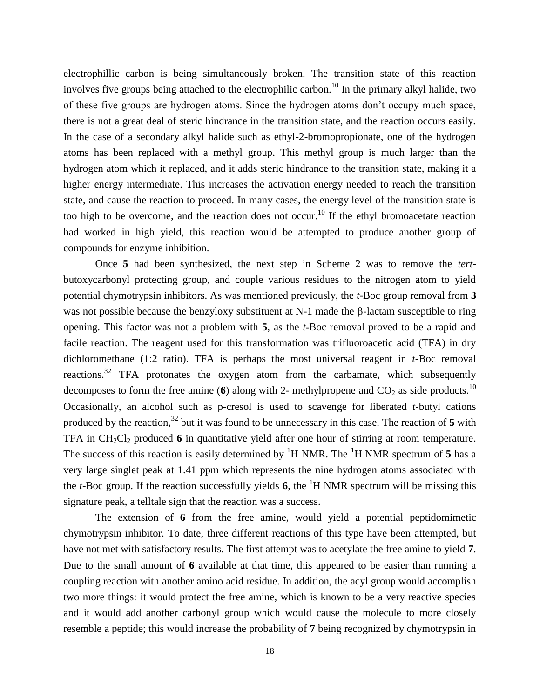electrophillic carbon is being simultaneously broken. The transition state of this reaction involves five groups being attached to the electrophilic carbon.<sup>10</sup> In the primary alkyl halide, two of these five groups are hydrogen atoms. Since the hydrogen atoms don't occupy much space, there is not a great deal of steric hindrance in the transition state, and the reaction occurs easily. In the case of a secondary alkyl halide such as ethyl-2-bromopropionate, one of the hydrogen atoms has been replaced with a methyl group. This methyl group is much larger than the hydrogen atom which it replaced, and it adds steric hindrance to the transition state, making it a higher energy intermediate. This increases the activation energy needed to reach the transition state, and cause the reaction to proceed. In many cases, the energy level of the transition state is too high to be overcome, and the reaction does not occur.<sup>10</sup> If the ethyl bromoacetate reaction had worked in high yield, this reaction would be attempted to produce another group of compounds for enzyme inhibition.

Once **5** had been synthesized, the next step in Scheme 2 was to remove the *tert*butoxycarbonyl protecting group, and couple various residues to the nitrogen atom to yield potential chymotrypsin inhibitors. As was mentioned previously, the *t*-Boc group removal from **3** was not possible because the benzyloxy substituent at  $N-1$  made the  $\beta$ -lactam susceptible to ring opening. This factor was not a problem with **5**, as the *t*-Boc removal proved to be a rapid and facile reaction. The reagent used for this transformation was trifluoroacetic acid (TFA) in dry dichloromethane (1:2 ratio). TFA is perhaps the most universal reagent in *t*-Boc removal reactions.<sup>32</sup> TFA protonates the oxygen atom from the carbamate, which subsequently decomposes to form the free amine (**6**) along with 2- methylpropene and  $CO_2$  as side products.<sup>10</sup> Occasionally, an alcohol such as p-cresol is used to scavenge for liberated *t*-butyl cations produced by the reaction,<sup>32</sup> but it was found to be unnecessary in this case. The reaction of **5** with TFA in CH<sub>2</sub>Cl<sub>2</sub> produced 6 in quantitative yield after one hour of stirring at room temperature. The success of this reaction is easily determined by  ${}^{1}H$  NMR. The  ${}^{1}H$  NMR spectrum of 5 has a very large singlet peak at 1.41 ppm which represents the nine hydrogen atoms associated with the *t*-Boc group. If the reaction successfully yields **6**, the <sup>1</sup>H NMR spectrum will be missing this signature peak, a telltale sign that the reaction was a success.

The extension of **6** from the free amine, would yield a potential peptidomimetic chymotrypsin inhibitor. To date, three different reactions of this type have been attempted, but have not met with satisfactory results. The first attempt was to acetylate the free amine to yield **7**. Due to the small amount of **6** available at that time, this appeared to be easier than running a coupling reaction with another amino acid residue. In addition, the acyl group would accomplish two more things: it would protect the free amine, which is known to be a very reactive species and it would add another carbonyl group which would cause the molecule to more closely resemble a peptide; this would increase the probability of **7** being recognized by chymotrypsin in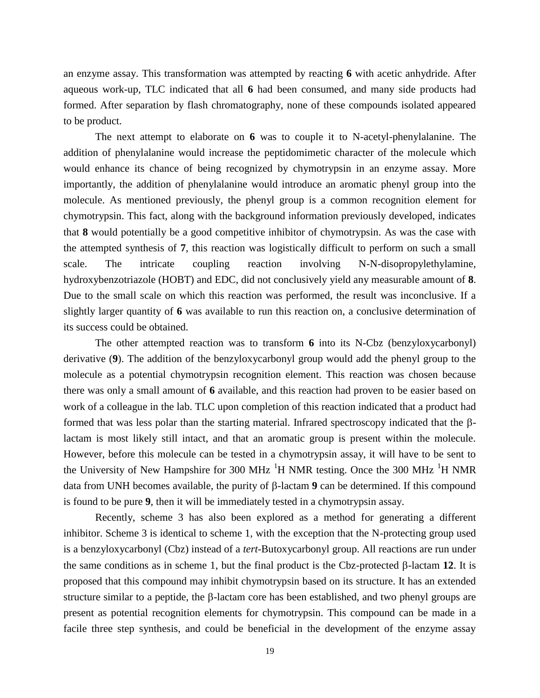an enzyme assay. This transformation was attempted by reacting **6** with acetic anhydride. After aqueous work-up, TLC indicated that all **6** had been consumed, and many side products had formed. After separation by flash chromatography, none of these compounds isolated appeared to be product.

The next attempt to elaborate on **6** was to couple it to N-acetyl-phenylalanine. The addition of phenylalanine would increase the peptidomimetic character of the molecule which would enhance its chance of being recognized by chymotrypsin in an enzyme assay. More importantly, the addition of phenylalanine would introduce an aromatic phenyl group into the molecule. As mentioned previously, the phenyl group is a common recognition element for chymotrypsin. This fact, along with the background information previously developed, indicates that **8** would potentially be a good competitive inhibitor of chymotrypsin. As was the case with the attempted synthesis of **7**, this reaction was logistically difficult to perform on such a small scale. The intricate coupling reaction involving N-N-disopropylethylamine, hydroxybenzotriazole (HOBT) and EDC, did not conclusively yield any measurable amount of **8**. Due to the small scale on which this reaction was performed, the result was inconclusive. If a slightly larger quantity of **6** was available to run this reaction on, a conclusive determination of its success could be obtained.

The other attempted reaction was to transform **6** into its N-Cbz (benzyloxycarbonyl) derivative (**9**). The addition of the benzyloxycarbonyl group would add the phenyl group to the molecule as a potential chymotrypsin recognition element. This reaction was chosen because there was only a small amount of **6** available, and this reaction had proven to be easier based on work of a colleague in the lab. TLC upon completion of this reaction indicated that a product had formed that was less polar than the starting material. Infrared spectroscopy indicated that the  $\beta$ lactam is most likely still intact, and that an aromatic group is present within the molecule. However, before this molecule can be tested in a chymotrypsin assay, it will have to be sent to the University of New Hampshire for 300 MHz  $^{1}$ H NMR testing. Once the 300 MHz  $^{1}$ H NMR data from UNH becomes available, the purity of  $\beta$ -lactam **9** can be determined. If this compound is found to be pure **9**, then it will be immediately tested in a chymotrypsin assay.

Recently, scheme 3 has also been explored as a method for generating a different inhibitor. Scheme 3 is identical to scheme 1, with the exception that the N-protecting group used is a benzyloxycarbonyl (Cbz) instead of a *tert*-Butoxycarbonyl group. All reactions are run under the same conditions as in scheme 1, but the final product is the Cbz-protected  $\beta$ -lactam 12. It is proposed that this compound may inhibit chymotrypsin based on its structure. It has an extended structure similar to a peptide, the  $\beta$ -lactam core has been established, and two phenyl groups are present as potential recognition elements for chymotrypsin. This compound can be made in a facile three step synthesis, and could be beneficial in the development of the enzyme assay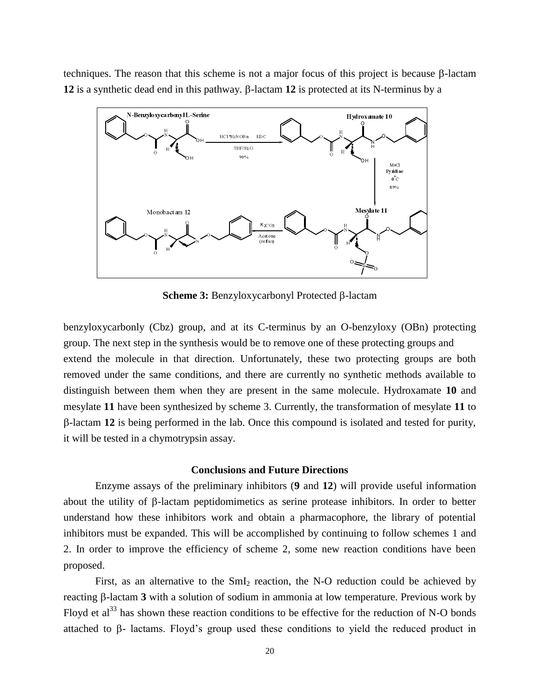techniques. The reason that this scheme is not a major focus of this project is because  $\beta$ -lactam **12** is a synthetic dead end in this pathway.  $\beta$ -lactam **12** is protected at its N-terminus by a



**Scheme 3:** Benzyloxycarbonyl Protected β-lactam

benzyloxycarbonly (Cbz) group, and at its C-terminus by an O-benzyloxy (OBn) protecting group. The next step in the synthesis would be to remove one of these protecting groups and extend the molecule in that direction. Unfortunately, these two protecting groups are both removed under the same conditions, and there are currently no synthetic methods available to distinguish between them when they are present in the same molecule. Hydroxamate **10** and mesylate **11** have been synthesized by scheme 3. Currently, the transformation of mesylate **11** to -lactam **12** is being performed in the lab. Once this compound is isolated and tested for purity, it will be tested in a chymotrypsin assay.

#### **Conclusions and Future Directions**

Enzyme assays of the preliminary inhibitors (**9** and **12**) will provide useful information about the utility of  $\beta$ -lactam peptidomimetics as serine protease inhibitors. In order to better understand how these inhibitors work and obtain a pharmacophore, the library of potential inhibitors must be expanded. This will be accomplished by continuing to follow schemes 1 and 2. In order to improve the efficiency of scheme 2, some new reaction conditions have been proposed.

First, as an alternative to the  $SmI_2$  reaction, the N-O reduction could be achieved by reacting  $\beta$ -lactam **3** with a solution of sodium in ammonia at low temperature. Previous work by Floyd et al<sup>33</sup> has shown these reaction conditions to be effective for the reduction of N-O bonds attached to  $\beta$ - lactams. Floyd's group used these conditions to yield the reduced product in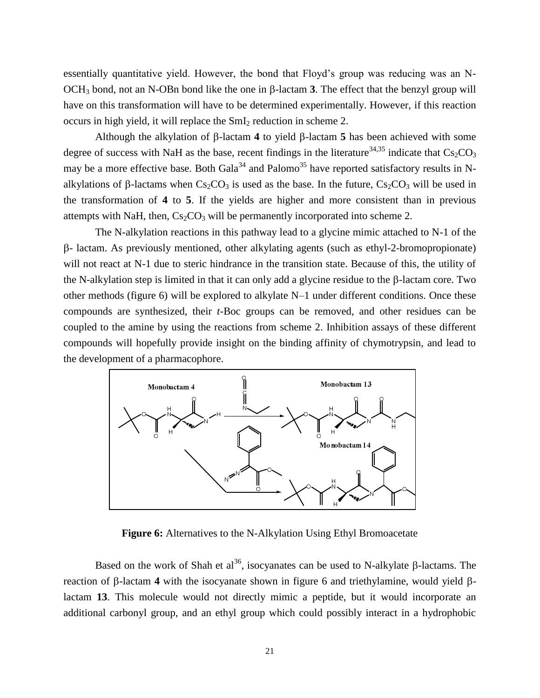essentially quantitative yield. However, the bond that Floyd's group was reducing was an N- $OCH_3$  bond, not an N-OBn bond like the one in  $\beta$ -lactam **3**. The effect that the benzyl group will have on this transformation will have to be determined experimentally. However, if this reaction occurs in high yield, it will replace the  $SmI<sub>2</sub>$  reduction in scheme 2.

Although the alkylation of  $\beta$ -lactam 4 to yield  $\beta$ -lactam 5 has been achieved with some degree of success with NaH as the base, recent findings in the literature<sup>34,35</sup> indicate that  $Cs_2CO_3$ may be a more effective base. Both Gala<sup>34</sup> and Palomo<sup>35</sup> have reported satisfactory results in Nalkylations of  $\beta$ -lactams when  $Cs_2CO_3$  is used as the base. In the future,  $Cs_2CO_3$  will be used in the transformation of **4** to **5**. If the yields are higher and more consistent than in previous attempts with NaH, then,  $Cs<sub>2</sub>CO<sub>3</sub>$  will be permanently incorporated into scheme 2.

The N-alkylation reactions in this pathway lead to a glycine mimic attached to N-1 of the - lactam. As previously mentioned, other alkylating agents (such as ethyl-2-bromopropionate) will not react at N-1 due to steric hindrance in the transition state. Because of this, the utility of the N-alkylation step is limited in that it can only add a glycine residue to the  $\beta$ -lactam core. Two other methods (figure 6) will be explored to alkylate N–1 under different conditions. Once these compounds are synthesized, their *t*-Boc groups can be removed, and other residues can be coupled to the amine by using the reactions from scheme 2. Inhibition assays of these different compounds will hopefully provide insight on the binding affinity of chymotrypsin, and lead to the development of a pharmacophore.



**Figure 6:** Alternatives to the N-Alkylation Using Ethyl Bromoacetate

Based on the work of Shah et al<sup>36</sup>, isocyanates can be used to N-alkylate  $\beta$ -lactams. The reaction of  $\beta$ -lactam 4 with the isocyanate shown in figure 6 and triethylamine, would yield  $\beta$ lactam **13**. This molecule would not directly mimic a peptide, but it would incorporate an additional carbonyl group, and an ethyl group which could possibly interact in a hydrophobic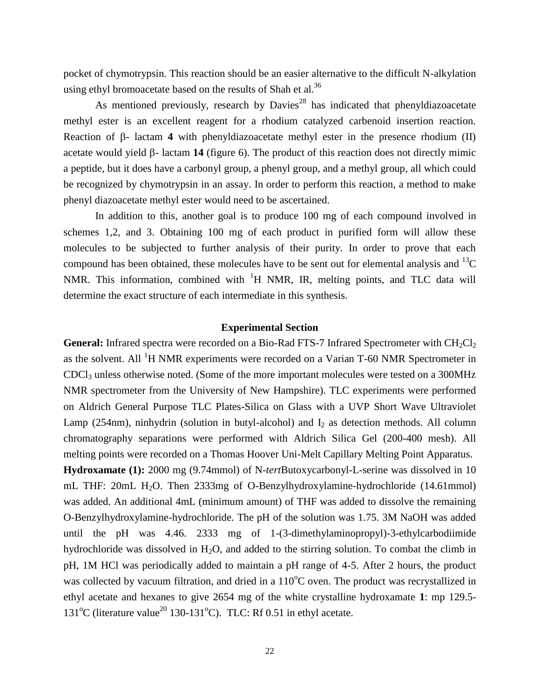pocket of chymotrypsin. This reaction should be an easier alternative to the difficult N-alkylation using ethyl bromoacetate based on the results of Shah et al.<sup>36</sup>

As mentioned previously, research by  $Davies^{28}$  has indicated that phenyldiazoacetate methyl ester is an excellent reagent for a rhodium catalyzed carbenoid insertion reaction. Reaction of  $\beta$ - lactam 4 with phenyldiazoacetate methyl ester in the presence rhodium (II) acetate would yield  $\beta$ - lactam 14 (figure 6). The product of this reaction does not directly mimic a peptide, but it does have a carbonyl group, a phenyl group, and a methyl group, all which could be recognized by chymotrypsin in an assay. In order to perform this reaction, a method to make phenyl diazoacetate methyl ester would need to be ascertained.

In addition to this, another goal is to produce 100 mg of each compound involved in schemes 1,2, and 3. Obtaining 100 mg of each product in purified form will allow these molecules to be subjected to further analysis of their purity. In order to prove that each compound has been obtained, these molecules have to be sent out for elemental analysis and  $^{13}C$ NMR. This information, combined with  ${}^{1}H$  NMR, IR, melting points, and TLC data will determine the exact structure of each intermediate in this synthesis.

#### **Experimental Section**

**General:** Infrared spectra were recorded on a Bio-Rad FTS-7 Infrared Spectrometer with  $CH_2Cl_2$ as the solvent. All <sup>1</sup>H NMR experiments were recorded on a Varian T-60 NMR Spectrometer in  $CDCl<sub>3</sub>$  unless otherwise noted. (Some of the more important molecules were tested on a 300MHz NMR spectrometer from the University of New Hampshire). TLC experiments were performed on Aldrich General Purpose TLC Plates-Silica on Glass with a UVP Short Wave Ultraviolet Lamp (254nm), ninhydrin (solution in butyl-alcohol) and  $I_2$  as detection methods. All column chromatography separations were performed with Aldrich Silica Gel (200-400 mesh). All melting points were recorded on a Thomas Hoover Uni-Melt Capillary Melting Point Apparatus.

**Hydroxamate (1):** 2000 mg (9.74mmol) of N-*tert*Butoxycarbonyl-L-serine was dissolved in 10 mL THF: 20mL H2O. Then 2333mg of O-Benzylhydroxylamine-hydrochloride (14.61mmol) was added. An additional 4mL (minimum amount) of THF was added to dissolve the remaining O-Benzylhydroxylamine-hydrochloride. The pH of the solution was 1.75. 3M NaOH was added until the pH was 4.46. 2333 mg of 1-(3-dimethylaminopropyl)-3-ethylcarbodiimide hydrochloride was dissolved in  $H_2O$ , and added to the stirring solution. To combat the climb in pH, 1M HCl was periodically added to maintain a pH range of 4-5. After 2 hours, the product was collected by vacuum filtration, and dried in a  $110^{\circ}$ C oven. The product was recrystallized in ethyl acetate and hexanes to give 2654 mg of the white crystalline hydroxamate **1**: mp 129.5- 131<sup>o</sup>C (literature value<sup>20</sup> 130-131<sup>o</sup>C). TLC: Rf 0.51 in ethyl acetate.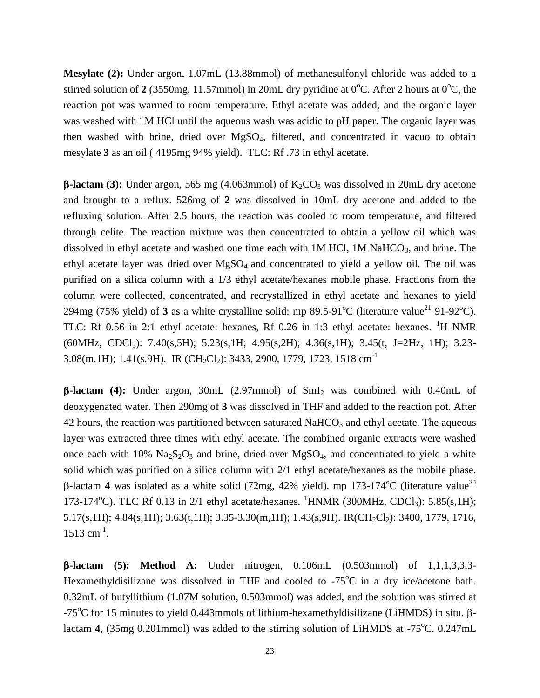**Mesylate (2):** Under argon, 1.07mL (13.88mmol) of methanesulfonyl chloride was added to a stirred solution of 2 (3550mg, 11.57mmol) in 20mL dry pyridine at  $0^{\circ}$ C. After 2 hours at  $0^{\circ}$ C, the reaction pot was warmed to room temperature. Ethyl acetate was added, and the organic layer was washed with 1M HCl until the aqueous wash was acidic to pH paper. The organic layer was then washed with brine, dried over MgSO4, filtered, and concentrated in vacuo to obtain mesylate **3** as an oil ( 4195mg 94% yield). TLC: Rf .73 in ethyl acetate.

**B-lactam (3):** Under argon, 565 mg (4.063mmol) of  $K_2CO_3$  was dissolved in 20mL dry acetone and brought to a reflux. 526mg of **2** was dissolved in 10mL dry acetone and added to the refluxing solution. After 2.5 hours, the reaction was cooled to room temperature, and filtered through celite. The reaction mixture was then concentrated to obtain a yellow oil which was dissolved in ethyl acetate and washed one time each with  $1M$  HCl,  $1M$  NaHCO<sub>3</sub>, and brine. The ethyl acetate layer was dried over  $MgSO<sub>4</sub>$  and concentrated to yield a yellow oil. The oil was purified on a silica column with a 1/3 ethyl acetate/hexanes mobile phase. Fractions from the column were collected, concentrated, and recrystallized in ethyl acetate and hexanes to yield 294mg (75% yield) of **3** as a white crystalline solid: mp 89.5-91<sup>o</sup>C (literature value<sup>21</sup> 91-92<sup>o</sup>C). TLC: Rf 0.56 in 2:1 ethyl acetate: hexanes, Rf 0.26 in 1:3 ethyl acetate: hexanes. <sup>1</sup>H NMR (60MHz, CDCl3): 7.40(s,5H); 5.23(s,1H; 4.95(s,2H); 4.36(s,1H); 3.45(t, J=2Hz, 1H); 3.23- 3.08(m,1H); 1.41(s,9H). IR (CH<sub>2</sub>Cl<sub>2</sub>): 3433, 2900, 1779, 1723, 1518 cm<sup>-1</sup>

**-lactam (4):** Under argon, 30mL (2.97mmol) of SmI<sup>2</sup> was combined with 0.40mL of deoxygenated water. Then 290mg of **3** was dissolved in THF and added to the reaction pot. After 42 hours, the reaction was partitioned between saturated NaHCO<sub>3</sub> and ethyl acetate. The aqueous layer was extracted three times with ethyl acetate. The combined organic extracts were washed once each with  $10\%$  Na<sub>2</sub>S<sub>2</sub>O<sub>3</sub> and brine, dried over MgSO<sub>4</sub>, and concentrated to yield a white solid which was purified on a silica column with 2/1 ethyl acetate/hexanes as the mobile phase.  $\beta$ -lactam 4 was isolated as a white solid (72mg, 42% yield). mp 173-174<sup>o</sup>C (literature value<sup>24</sup> 173-174<sup>o</sup>C). TLC Rf 0.13 in 2/1 ethyl acetate/hexanes. <sup>1</sup>HNMR (300MHz, CDCl<sub>3</sub>): 5.85(s,1H);  $5.17(s,1H)$ ; 4.84 $(s,1H)$ ; 3.63 $(t,1H)$ ; 3.35-3.30 $(m,1H)$ ; 1.43 $(s,9H)$ . IR(CH<sub>2</sub>Cl<sub>2</sub>): 3400, 1779, 1716, 1513 cm<sup>-1</sup>.

**-lactam (5): Method A:** Under nitrogen, 0.106mL (0.503mmol) of 1,1,1,3,3,3- Hexamethyldisilizane was dissolved in THF and cooled to  $-75^{\circ}$ C in a dry ice/acetone bath. 0.32mL of butyllithium (1.07M solution, 0.503mmol) was added, and the solution was stirred at  $-75^{\circ}$ C for 15 minutes to yield 0.443mmols of lithium-hexamethyldisilizane (LiHMDS) in situ.  $\beta$ lactam **4**, (35mg 0.201mmol) was added to the stirring solution of LiHMDS at  $-75^{\circ}$ C. 0.247mL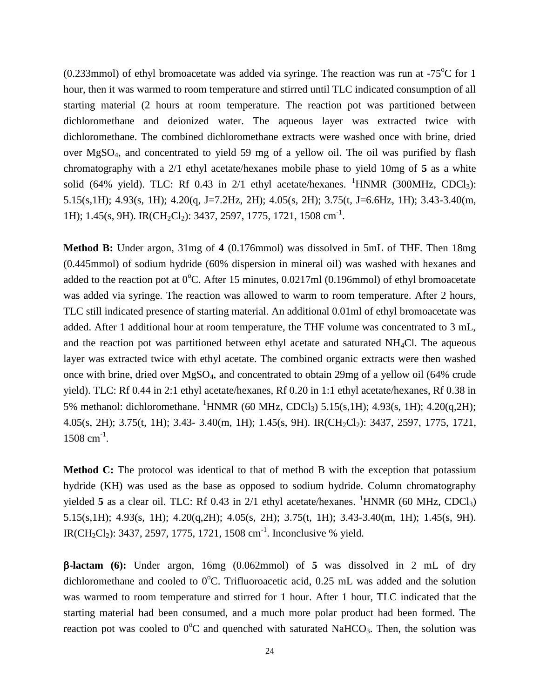(0.233mmol) of ethyl bromoacetate was added via syringe. The reaction was run at  $-75^{\circ}$ C for 1 hour, then it was warmed to room temperature and stirred until TLC indicated consumption of all starting material (2 hours at room temperature. The reaction pot was partitioned between dichloromethane and deionized water. The aqueous layer was extracted twice with dichloromethane. The combined dichloromethane extracts were washed once with brine, dried over MgSO4, and concentrated to yield 59 mg of a yellow oil. The oil was purified by flash chromatography with a 2/1 ethyl acetate/hexanes mobile phase to yield 10mg of **5** as a white solid (64% yield). TLC: Rf 0.43 in 2/1 ethyl acetate/hexanes. <sup>1</sup>HNMR (300MHz, CDCl<sub>3</sub>): 5.15(s,1H); 4.93(s, 1H); 4.20(q, J=7.2Hz, 2H); 4.05(s, 2H); 3.75(t, J=6.6Hz, 1H); 3.43-3.40(m, 1H); 1.45(s, 9H). IR(CH<sub>2</sub>Cl<sub>2</sub>): 3437, 2597, 1775, 1721, 1508 cm<sup>-1</sup>.

**Method B:** Under argon, 31mg of **4** (0.176mmol) was dissolved in 5mL of THF. Then 18mg (0.445mmol) of sodium hydride (60% dispersion in mineral oil) was washed with hexanes and added to the reaction pot at  $0^{\circ}$ C. After 15 minutes, 0.0217ml (0.196mmol) of ethyl bromoacetate was added via syringe. The reaction was allowed to warm to room temperature. After 2 hours, TLC still indicated presence of starting material. An additional 0.01ml of ethyl bromoacetate was added. After 1 additional hour at room temperature, the THF volume was concentrated to 3 mL, and the reaction pot was partitioned between ethyl acetate and saturated  $NH<sub>4</sub>Cl$ . The aqueous layer was extracted twice with ethyl acetate. The combined organic extracts were then washed once with brine, dried over MgSO4, and concentrated to obtain 29mg of a yellow oil (64% crude yield). TLC: Rf 0.44 in 2:1 ethyl acetate/hexanes, Rf 0.20 in 1:1 ethyl acetate/hexanes, Rf 0.38 in 5% methanol: dichloromethane. <sup>1</sup>HNMR (60 MHz, CDCl<sub>3</sub>) 5.15(s,1H); 4.93(s, 1H); 4.20(q,2H); 4.05(s, 2H); 3.75(t, 1H); 3.43- 3.40(m, 1H); 1.45(s, 9H). IR(CH<sub>2</sub>Cl<sub>2</sub>): 3437, 2597, 1775, 1721, 1508 cm<sup>-1</sup>.

**Method C:** The protocol was identical to that of method B with the exception that potassium hydride (KH) was used as the base as opposed to sodium hydride. Column chromatography yielded **5** as a clear oil. TLC: Rf 0.43 in  $2/1$  ethyl acetate/hexanes. <sup>1</sup>HNMR (60 MHz, CDCl<sub>3</sub>) 5.15(s,1H); 4.93(s, 1H); 4.20(q,2H); 4.05(s, 2H); 3.75(t, 1H); 3.43-3.40(m, 1H); 1.45(s, 9H). IR(CH<sub>2</sub>Cl<sub>2</sub>): 3437, 2597, 1775, 1721, 1508 cm<sup>-1</sup>. Inconclusive % yield.

**-lactam (6):** Under argon, 16mg (0.062mmol) of **5** was dissolved in 2 mL of dry dichloromethane and cooled to  $0^{\circ}$ C. Trifluoroacetic acid, 0.25 mL was added and the solution was warmed to room temperature and stirred for 1 hour. After 1 hour, TLC indicated that the starting material had been consumed, and a much more polar product had been formed. The reaction pot was cooled to  $0^{\circ}$ C and quenched with saturated NaHCO<sub>3</sub>. Then, the solution was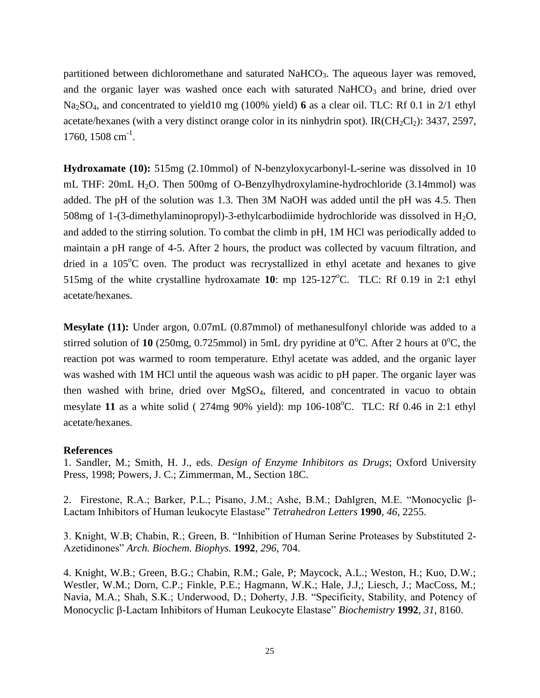partitioned between dichloromethane and saturated  $NaHCO<sub>3</sub>$ . The aqueous layer was removed, and the organic layer was washed once each with saturated  $NaHCO<sub>3</sub>$  and brine, dried over Na2SO4, and concentrated to yield10 mg (100% yield) **6** as a clear oil. TLC: Rf 0.1 in 2/1 ethyl acetate/hexanes (with a very distinct orange color in its ninhydrin spot). IR( $CH_2Cl_2$ ): 3437, 2597, 1760, 1508 cm<sup>-1</sup>.

**Hydroxamate (10):** 515mg (2.10mmol) of N-benzyloxycarbonyl-L-serine was dissolved in 10 mL THF: 20mL H<sub>2</sub>O. Then 500mg of O-Benzylhydroxylamine-hydrochloride (3.14mmol) was added. The pH of the solution was 1.3. Then 3M NaOH was added until the pH was 4.5. Then 508mg of 1-(3-dimethylaminopropyl)-3-ethylcarbodiimide hydrochloride was dissolved in  $H_2O$ , and added to the stirring solution. To combat the climb in pH, 1M HCl was periodically added to maintain a pH range of 4-5. After 2 hours, the product was collected by vacuum filtration, and dried in a  $105^{\circ}$ C oven. The product was recrystallized in ethyl acetate and hexanes to give 515mg of the white crystalline hydroxamate 10: mp 125-127<sup>o</sup>C. TLC: Rf 0.19 in 2:1 ethyl acetate/hexanes.

**Mesylate (11):** Under argon, 0.07mL (0.87mmol) of methanesulfonyl chloride was added to a stirred solution of 10 (250mg, 0.725mmol) in 5mL dry pyridine at  $0^{\circ}$ C. After 2 hours at  $0^{\circ}$ C, the reaction pot was warmed to room temperature. Ethyl acetate was added, and the organic layer was washed with 1M HCl until the aqueous wash was acidic to pH paper. The organic layer was then washed with brine, dried over MgSO4, filtered, and concentrated in vacuo to obtain mesylate 11 as a white solid ( $274mg$  90% yield): mp 106-108<sup>o</sup>C. TLC: Rf 0.46 in 2:1 ethyl acetate/hexanes.

#### **References**

1. Sandler, M.; Smith, H. J., eds. *Design of Enzyme Inhibitors as Drugs*; Oxford University Press, 1998; Powers, J. C.; Zimmerman, M., Section 18C.

2. Firestone, R.A.; Barker, P.L.; Pisano, J.M.; Ashe, B.M.; Dahlgren, M.E. "Monocyclic  $\beta$ -Lactam Inhibitors of Human leukocyte Elastase" *Tetrahedron Letters* **1990**, *46*, 2255.

3. Knight, W.B; Chabin, R.; Green, B. "Inhibition of Human Serine Proteases by Substituted 2- Azetidinones" *Arch. Biochem. Biophys.* **1992**, *296*, 704.

4. Knight, W.B.; Green, B.G.; Chabin, R.M.; Gale, P; Maycock, A.L.; Weston, H.; Kuo, D.W.; Westler, W.M.; Dorn, C.P.; Finkle, P.E.; Hagmann, W.K.; Hale, J.J,; Liesch, J.; MacCoss, M.; Navia, M.A.; Shah, S.K.; Underwood, D.; Doherty, J.B. "Specificity, Stability, and Potency of Monocyclic -Lactam Inhibitors of Human Leukocyte Elastase" *Biochemistry* **1992**, *31*, 8160.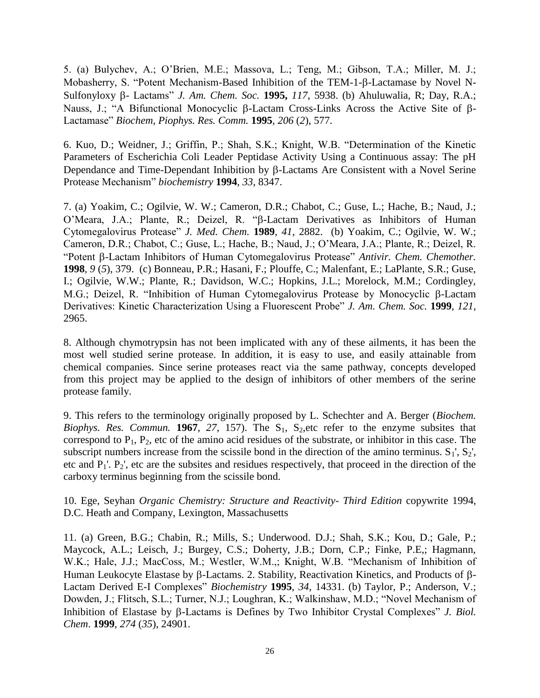5. (a) Bulychev, A.; O'Brien, M.E.; Massova, L.; Teng, M.; Gibson, T.A.; Miller, M. J.; Mobasherry, S. "Potent Mechanism-Based Inhibition of the TEM-1-B-Lactamase by Novel N-Sulfonyloxy β - Lactams" *J. Am. Chem. Soc.* **1995,** 117, 5938. (b) Ahuluwalia, R; Day, R.A.; Nauss, J.; "A Bifunctional Monocyclic  $\beta$ -Lactam Cross-Links Across the Active Site of  $\beta$ -Lactamase" *Biochem, Piophys. Res. Comm.* **1995**, *206* (*2*), 577.

6. Kuo, D.; Weidner, J.; Griffin, P.; Shah, S.K.; Knight, W.B. "Determination of the Kinetic Parameters of Escherichia Coli Leader Peptidase Activity Using a Continuous assay: The pH Dependance and Time-Dependant Inhibition by  $\beta$ -Lactams Are Consistent with a Novel Serine Protease Mechanism" *biochemistry* **1994**, *33*, 8347.

7. (a) Yoakim, C.; Ogilvie, W. W.; Cameron, D.R.; Chabot, C.; Guse, L.; Hache, B.; Naud, J.; O'Meara, J.A.; Plante, R.; Deizel, R. " $\beta$ -Lactam Derivatives as Inhibitors of Human Cytomegalovirus Protease" *J. Med. Chem.* **1989**, *41*, 2882. (b) Yoakim, C.; Ogilvie, W. W.; Cameron, D.R.; Chabot, C.; Guse, L.; Hache, B.; Naud, J.; O'Meara, J.A.; Plante, R.; Deizel, R. "Potent  $\beta$ -Lactam Inhibitors of Human Cytomegalovirus Protease" *Antivir. Chem. Chemother.* **1998**, *9* (*5*), 379. (c) Bonneau, P.R.; Hasani, F.; Plouffe, C.; Malenfant, E.; LaPlante, S.R.; Guse, I.; Ogilvie, W.W.; Plante, R.; Davidson, W.C.; Hopkins, J.L.; Morelock, M.M.; Cordingley, M.G.; Deizel, R. "Inhibition of Human Cytomegalovirus Protease by Monocyclic  $\beta$ -Lactam Derivatives: Kinetic Characterization Using a Fluorescent Probe" *J. Am. Chem. Soc.* **1999**, *121*, 2965.

8. Although chymotrypsin has not been implicated with any of these ailments, it has been the most well studied serine protease. In addition, it is easy to use, and easily attainable from chemical companies. Since serine proteases react via the same pathway, concepts developed from this project may be applied to the design of inhibitors of other members of the serine protease family.

9. This refers to the terminology originally proposed by L. Schechter and A. Berger (*Biochem. Biophys. Res. Commun.* **1967**, 27, 157). The  $S_1$ ,  $S_2$ , etc refer to the enzyme subsites that correspond to  $P_1$ ,  $P_2$ , etc of the amino acid residues of the substrate, or inhibitor in this case. The subscript numbers increase from the scissile bond in the direction of the amino terminus.  $S_1$ ',  $S_2$ ', etc and  $P_1$ '.  $P_2$ ', etc are the subsites and residues respectively, that proceed in the direction of the carboxy terminus beginning from the scissile bond.

10. Ege, Seyhan *Organic Chemistry: Structure and Reactivity- Third Edition* copywrite 1994, D.C. Heath and Company, Lexington, Massachusetts

11. (a) Green, B.G.; Chabin, R.; Mills, S.; Underwood. D.J.; Shah, S.K.; Kou, D.; Gale, P.; Maycock, A.L.; Leisch, J.; Burgey, C.S.; Doherty, J.B.; Dorn, C.P.; Finke, P.E,; Hagmann, W.K.; Hale, J.J.; MacCoss, M.; Westler, W.M.,; Knight, W.B. "Mechanism of Inhibition of Human Leukocyte Elastase by  $\beta$ -Lactams. 2. Stability, Reactivation Kinetics, and Products of  $\beta$ -Lactam Derived E-I Complexes" *Biochemistry* **1995**, *34*, 14331. (b) Taylor, P.; Anderson, V.; Dowden, J.; Flitsch, S.L.; Turner, N.J.; Loughran, K.; Walkinshaw, M.D.; "Novel Mechanism of Inhibition of Elastase by B-Lactams is Defines by Two Inhibitor Crystal Complexes" *J. Biol. Chem*. **1999**, *274* (*35*), 24901.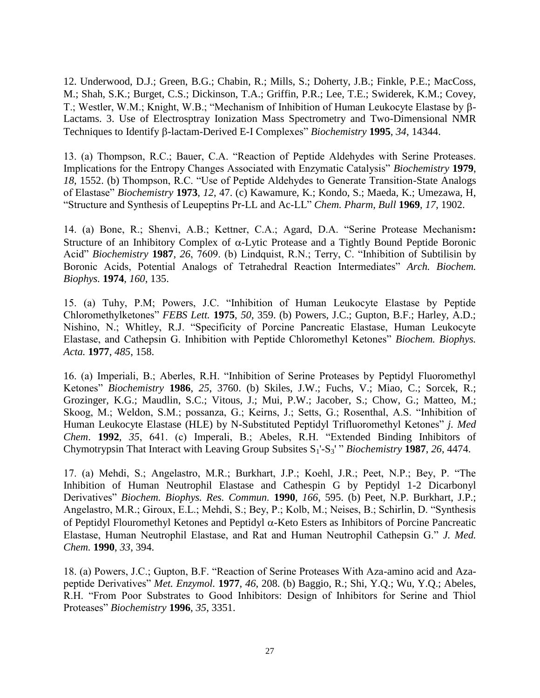12. Underwood, D.J.; Green, B.G.; Chabin, R.; Mills, S.; Doherty, J.B.; Finkle, P.E.; MacCoss, M.; Shah, S.K.; Burget, C.S.; Dickinson, T.A.; Griffin, P.R.; Lee, T.E.; Swiderek, K.M.; Covey, T.; Westler, W.M.; Knight, W.B.; "Mechanism of Inhibition of Human Leukocyte Elastase by β-Lactams. 3. Use of Electrosptray Ionization Mass Spectrometry and Two-Dimensional NMR Techniques to Identify B-lactam-Derived E-I Complexes" *Biochemistry* 1995, 34, 14344.

13. (a) Thompson, R.C.; Bauer, C.A. "Reaction of Peptide Aldehydes with Serine Proteases. Implications for the Entropy Changes Associated with Enzymatic Catalysis" *Biochemistry* **1979**, *18*, 1552. (b) Thompson, R.C. "Use of Peptide Aldehydes to Generate Transition-State Analogs of Elastase" *Biochemistry* **1973**, *12*, 47. (c) Kawamure, K.; Kondo, S.; Maeda, K.; Umezawa, H, "Structure and Synthesis of Leupeptins Pr-LL and Ac-LL" *Chem. Pharm, Bull* **1969**, *17*, 1902.

14. (a) Bone, R.; Shenvi, A.B.; Kettner, C.A.; Agard, D.A. "Serine Protease Mechanism**:**  Structure of an Inhibitory Complex of  $\alpha$ -Lytic Protease and a Tightly Bound Peptide Boronic Acid" *Biochemistry* **1987**, *26*, 7609. (b) Lindquist, R.N.; Terry, C. "Inhibition of Subtilisin by Boronic Acids, Potential Analogs of Tetrahedral Reaction Intermediates" *Arch. Biochem. Biophys.* **1974**, *160*, 135.

15. (a) Tuhy, P.M; Powers, J.C. "Inhibition of Human Leukocyte Elastase by Peptide Chloromethylketones" *FEBS Lett.* **1975**, *50*, 359. (b) Powers, J.C.; Gupton, B.F.; Harley, A.D.; Nishino, N.; Whitley, R.J. "Specificity of Porcine Pancreatic Elastase, Human Leukocyte Elastase, and Cathepsin G. Inhibition with Peptide Chloromethyl Ketones" *Biochem. Biophys. Acta.* **1977**, *485*, 158.

16. (a) Imperiali, B.; Aberles, R.H. "Inhibition of Serine Proteases by Peptidyl Fluoromethyl Ketones" *Biochemistry* **1986**, *25*, 3760. (b) Skiles, J.W.; Fuchs, V.; Miao, C.; Sorcek, R.; Grozinger, K.G.; Maudlin, S.C.; Vitous, J.; Mui, P.W.; Jacober, S.; Chow, G.; Matteo, M.; Skoog, M.; Weldon, S.M.; possanza, G.; Keirns, J.; Setts, G.; Rosenthal, A.S. "Inhibition of Human Leukocyte Elastase (HLE) by N-Substituted Peptidyl Trifluoromethyl Ketones" *j. Med Chem*. **1992**, *35*, 641. (c) Imperali, B.; Abeles, R.H. "Extended Binding Inhibitors of Chymotrypsin That Interact with Leaving Group Subsites  $S_1$ '- $S_3$ ' " *Biochemistry* 1987, 26, 4474.

17. (a) Mehdi, S.; Angelastro, M.R.; Burkhart, J.P.; Koehl, J.R.; Peet, N.P.; Bey, P. "The Inhibition of Human Neutrophil Elastase and Cathespin G by Peptidyl 1-2 Dicarbonyl Derivatives" *Biochem. Biophys. Res. Commun.* **1990**, *166*, 595. (b) Peet, N.P. Burkhart, J.P.; Angelastro, M.R.; Giroux, E.L.; Mehdi, S.; Bey, P.; Kolb, M.; Neises, B.; Schirlin, D. "Synthesis of Peptidyl Flouromethyl Ketones and Peptidyl  $\alpha$ -Keto Esters as Inhibitors of Porcine Pancreatic Elastase, Human Neutrophil Elastase, and Rat and Human Neutrophil Cathepsin G." *J. Med. Chem.* **1990**, *33*, 394.

18. (a) Powers, J.C.; Gupton, B.F. "Reaction of Serine Proteases With Aza-amino acid and Azapeptide Derivatives" *Met. Enzymol.* **1977**, *46*, 208. (b) Baggio, R.; Shi, Y.Q.; Wu, Y.Q.; Abeles, R.H. "From Poor Substrates to Good Inhibitors: Design of Inhibitors for Serine and Thiol Proteases" *Biochemistry* **1996**, *35*, 3351.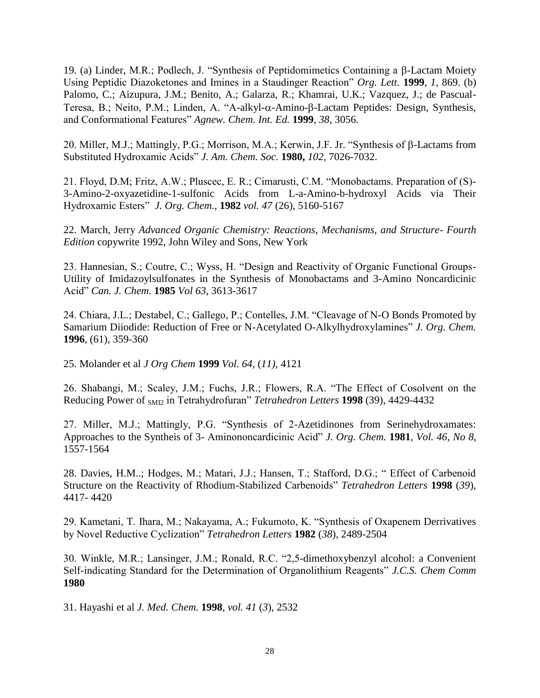19. (a) Linder, M.R.; Podlech, J. "Synthesis of Peptidomimetics Containing a  $\beta$ -Lactam Moiety Using Peptidic Diazoketones and Imines in a Staudinger Reaction" *Org. Lett.* **1999**, *1*, 869. (b) Palomo, C.; Aizupura, J.M.; Benito, A.; Galarza, R.; Khamrai, U.K.; Vazquez, J.; de Pascual-Teresa, B.; Neito, P.M.; Linden, A. "A-alkyl- $\alpha$ -Amino- $\beta$ -Lactam Peptides: Design, Synthesis, and Conformational Features" *Agnew. Chem. Int. Ed.* **1999**, *38*, 3056.

20. Miller, M.J.; Mattingly, P.G.; Morrison, M.A.; Kerwin, J.F. Jr. "Synthesis of  $\beta$ -Lactams from Substituted Hydroxamic Acids" *J. Am. Chem. Soc.* **1980,** *102*, 7026-7032.

21. Floyd, D.M; Fritz, A.W.; Pluscec, E. R.; Cimarusti, C.M. "Monobactams. Preparation of (S)- 3-Amino-2-oxyazetidine-1-sulfonic Acids from L-a-Amino-b-hydroxyl Acids via Their Hydroxamic Esters" *J. Org. Chem.,* **1982** *vol. 47* (26), 5160-5167

22. March, Jerry *Advanced Organic Chemistry: Reactions, Mechanisms, and Structure- Fourth Edition* copywrite 1992, John Wiley and Sons, New York

23. Hannesian, S.; Coutre, C.; Wyss, H. "Design and Reactivity of Organic Functional Groups-Utility of Imidazoylsulfonates in the Synthesis of Monobactams and 3-Amino Noncardicinic Acid" *Can. J. Chem.* **1985** *Vol 63*, 3613-3617

24. Chiara, J.L.; Destabel, C.; Gallego, P.; Contelles, J.M. "Cleavage of N-O Bonds Promoted by Samarium Diiodide: Reduction of Free or N-Acetylated O-Alkylhydroxylamines" *J. Org. Chem.*  **1996**, (61), 359-360

25. Molander et al *J Org Chem* **1999** *Vol. 64,* (*11),* 4121

26. Shabangi, M.; Scaley, J.M.; Fuchs, J.R.; Flowers, R.A. "The Effect of Cosolvent on the Reducing Power of SMI2 in Tetrahydrofuran" *Tetrahedron Letters* **1998** (39), 4429-4432

27. Miller, M.J.; Mattingly, P.G. "Synthesis of 2-Azetidinones from Serinehydroxamates: Approaches to the Syntheis of 3- Aminononcardicinic Acid" *J. Org. Chem.* **1981**, *Vol. 46*, *No 8*, 1557-1564

28. Davies, H.M..; Hodges, M.; Matari, J.J.; Hansen, T.; Stafford, D.G.; " Effect of Carbenoid Structure on the Reactivity of Rhodium-Stabilized Carbenoids" *Tetrahedron Letters* **1998** (*39*), 4417- 4420

29. Kametani, T. Ihara, M.; Nakayama, A.; Fukumoto, K. "Synthesis of Oxapenem Derrivatives by Novel Reductive Cyclization" *Tetrahedron Letters* **1982** (*38*), 2489-2504

30. Winkle, M.R.; Lansinger, J.M.; Ronald, R.C. "2,5-dimethoxybenzyl alcohol: a Convenient Self-indicating Standard for the Determination of Organolithium Reagents" *J.C.S. Chem Comm* **1980**

31. Hayashi et al *J. Med. Chem.* **1998**, *vol. 41* (*3*), 2532